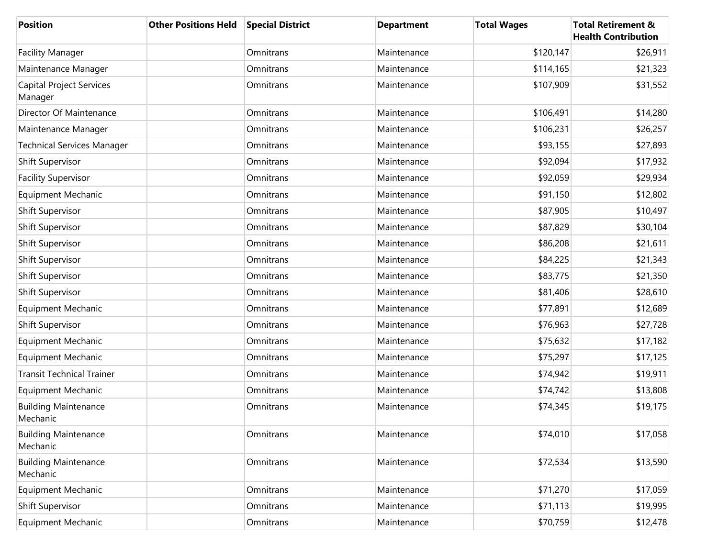| <b>Position</b>                            | <b>Other Positions Held</b> | <b>Special District</b> | <b>Department</b> | <b>Total Wages</b> | <b>Total Retirement &amp;</b><br><b>Health Contribution</b> |
|--------------------------------------------|-----------------------------|-------------------------|-------------------|--------------------|-------------------------------------------------------------|
| <b>Facility Manager</b>                    |                             | Omnitrans               | Maintenance       | \$120,147          | \$26,911                                                    |
| Maintenance Manager                        |                             | Omnitrans               | Maintenance       | \$114,165          | \$21,323                                                    |
| <b>Capital Project Services</b><br>Manager |                             | Omnitrans               | Maintenance       | \$107,909          | \$31,552                                                    |
| Director Of Maintenance                    |                             | Omnitrans               | Maintenance       | \$106,491          | \$14,280                                                    |
| Maintenance Manager                        |                             | Omnitrans               | Maintenance       | \$106,231          | \$26,257                                                    |
| <b>Technical Services Manager</b>          |                             | Omnitrans               | Maintenance       | \$93,155           | \$27,893                                                    |
| <b>Shift Supervisor</b>                    |                             | Omnitrans               | Maintenance       | \$92,094           | \$17,932                                                    |
| <b>Facility Supervisor</b>                 |                             | Omnitrans               | Maintenance       | \$92,059           | \$29,934                                                    |
| <b>Equipment Mechanic</b>                  |                             | Omnitrans               | Maintenance       | \$91,150           | \$12,802                                                    |
| Shift Supervisor                           |                             | Omnitrans               | Maintenance       | \$87,905           | \$10,497                                                    |
| Shift Supervisor                           |                             | Omnitrans               | Maintenance       | \$87,829           | \$30,104                                                    |
| <b>Shift Supervisor</b>                    |                             | Omnitrans               | Maintenance       | \$86,208           | \$21,611                                                    |
| <b>Shift Supervisor</b>                    |                             | Omnitrans               | Maintenance       | \$84,225           | \$21,343                                                    |
| <b>Shift Supervisor</b>                    |                             | Omnitrans               | Maintenance       | \$83,775           | \$21,350                                                    |
| <b>Shift Supervisor</b>                    |                             | Omnitrans               | Maintenance       | \$81,406           | \$28,610                                                    |
| <b>Equipment Mechanic</b>                  |                             | Omnitrans               | Maintenance       | \$77,891           | \$12,689                                                    |
| <b>Shift Supervisor</b>                    |                             | Omnitrans               | Maintenance       | \$76,963           | \$27,728                                                    |
| <b>Equipment Mechanic</b>                  |                             | Omnitrans               | Maintenance       | \$75,632           | \$17,182                                                    |
| <b>Equipment Mechanic</b>                  |                             | Omnitrans               | Maintenance       | \$75,297           | \$17,125                                                    |
| <b>Transit Technical Trainer</b>           |                             | Omnitrans               | Maintenance       | \$74,942           | \$19,911                                                    |
| <b>Equipment Mechanic</b>                  |                             | Omnitrans               | Maintenance       | \$74,742           | \$13,808                                                    |
| <b>Building Maintenance</b><br>Mechanic    |                             | Omnitrans               | Maintenance       | \$74,345           | \$19,175                                                    |
| <b>Building Maintenance</b><br>Mechanic    |                             | Omnitrans               | Maintenance       | \$74,010           | \$17,058                                                    |
| <b>Building Maintenance</b><br>Mechanic    |                             | Omnitrans               | Maintenance       | \$72,534           | \$13,590                                                    |
| <b>Equipment Mechanic</b>                  |                             | Omnitrans               | Maintenance       | \$71,270           | \$17,059                                                    |
| Shift Supervisor                           |                             | Omnitrans               | Maintenance       | \$71,113           | \$19,995                                                    |
| <b>Equipment Mechanic</b>                  |                             | Omnitrans               | Maintenance       | \$70,759           | \$12,478                                                    |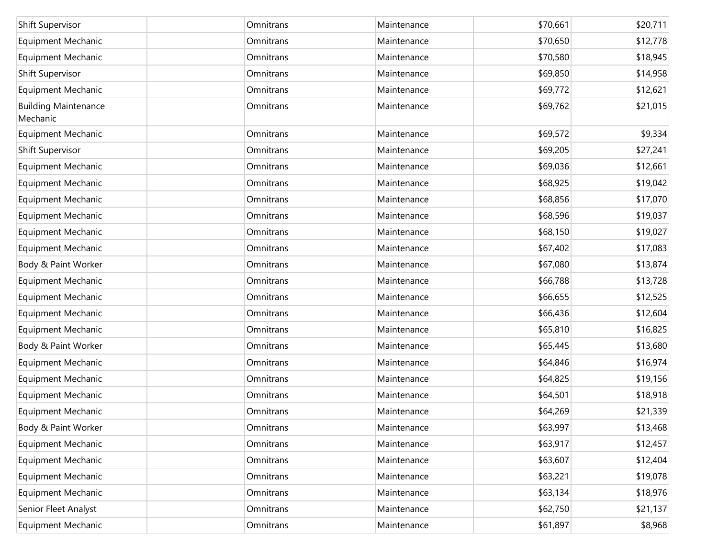| Shift Supervisor                        | Omnitrans | Maintenance | \$70,661 | \$20,711 |
|-----------------------------------------|-----------|-------------|----------|----------|
| <b>Equipment Mechanic</b>               | Omnitrans | Maintenance | \$70,650 | \$12,778 |
| Equipment Mechanic                      | Omnitrans | Maintenance | \$70,580 | \$18,945 |
| Shift Supervisor                        | Omnitrans | Maintenance | \$69,850 | \$14,958 |
| <b>Equipment Mechanic</b>               | Omnitrans | Maintenance | \$69,772 | \$12,621 |
| <b>Building Maintenance</b><br>Mechanic | Omnitrans | Maintenance | \$69,762 | \$21,015 |
| <b>Equipment Mechanic</b>               | Omnitrans | Maintenance | \$69,572 | \$9,334  |
| Shift Supervisor                        | Omnitrans | Maintenance | \$69,205 | \$27,241 |
| <b>Equipment Mechanic</b>               | Omnitrans | Maintenance | \$69,036 | \$12,661 |
| <b>Equipment Mechanic</b>               | Omnitrans | Maintenance | \$68,925 | \$19,042 |
| <b>Equipment Mechanic</b>               | Omnitrans | Maintenance | \$68,856 | \$17,070 |
| <b>Equipment Mechanic</b>               | Omnitrans | Maintenance | \$68,596 | \$19,037 |
| <b>Equipment Mechanic</b>               | Omnitrans | Maintenance | \$68,150 | \$19,027 |
| <b>Equipment Mechanic</b>               | Omnitrans | Maintenance | \$67,402 | \$17,083 |
| Body & Paint Worker                     | Omnitrans | Maintenance | \$67,080 | \$13,874 |
| <b>Equipment Mechanic</b>               | Omnitrans | Maintenance | \$66,788 | \$13,728 |
| <b>Equipment Mechanic</b>               | Omnitrans | Maintenance | \$66,655 | \$12,525 |
| <b>Equipment Mechanic</b>               | Omnitrans | Maintenance | \$66,436 | \$12,604 |
| <b>Equipment Mechanic</b>               | Omnitrans | Maintenance | \$65,810 | \$16,825 |
| Body & Paint Worker                     | Omnitrans | Maintenance | \$65,445 | \$13,680 |
| <b>Equipment Mechanic</b>               | Omnitrans | Maintenance | \$64,846 | \$16,974 |
| <b>Equipment Mechanic</b>               | Omnitrans | Maintenance | \$64,825 | \$19,156 |
| <b>Equipment Mechanic</b>               | Omnitrans | Maintenance | \$64,501 | \$18,918 |
| <b>Equipment Mechanic</b>               | Omnitrans | Maintenance | \$64,269 | \$21,339 |
| Body & Paint Worker                     | Omnitrans | Maintenance | \$63,997 | \$13,468 |
| <b>Equipment Mechanic</b>               | Omnitrans | Maintenance | \$63,917 | \$12,457 |
| <b>Equipment Mechanic</b>               | Omnitrans | Maintenance | \$63,607 | \$12,404 |
| <b>Equipment Mechanic</b>               | Omnitrans | Maintenance | \$63,221 | \$19,078 |
| <b>Equipment Mechanic</b>               | Omnitrans | Maintenance | \$63,134 | \$18,976 |
| Senior Fleet Analyst                    | Omnitrans | Maintenance | \$62,750 | \$21,137 |
| <b>Equipment Mechanic</b>               | Omnitrans | Maintenance | \$61,897 | \$8,968  |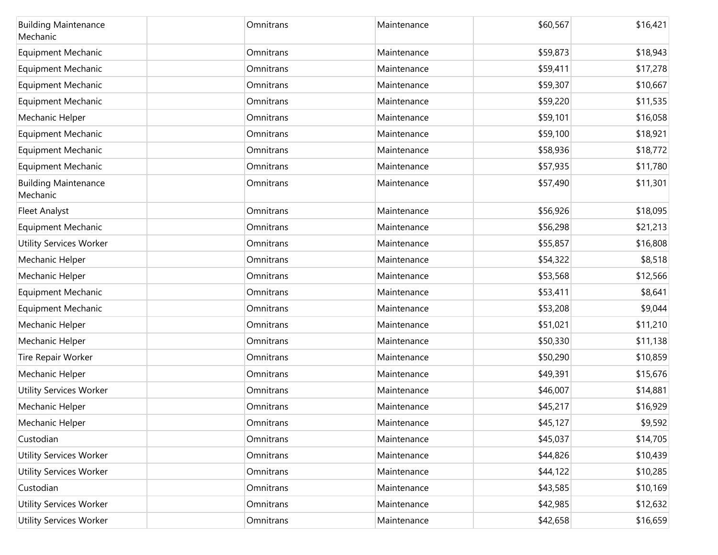| <b>Building Maintenance</b><br>Mechanic | Omnitrans | Maintenance | \$60,567 | \$16,421 |
|-----------------------------------------|-----------|-------------|----------|----------|
| <b>Equipment Mechanic</b>               | Omnitrans | Maintenance | \$59,873 | \$18,943 |
| <b>Equipment Mechanic</b>               | Omnitrans | Maintenance | \$59,411 | \$17,278 |
| <b>Equipment Mechanic</b>               | Omnitrans | Maintenance | \$59,307 | \$10,667 |
| <b>Equipment Mechanic</b>               | Omnitrans | Maintenance | \$59,220 | \$11,535 |
| Mechanic Helper                         | Omnitrans | Maintenance | \$59,101 | \$16,058 |
| <b>Equipment Mechanic</b>               | Omnitrans | Maintenance | \$59,100 | \$18,921 |
| <b>Equipment Mechanic</b>               | Omnitrans | Maintenance | \$58,936 | \$18,772 |
| <b>Equipment Mechanic</b>               | Omnitrans | Maintenance | \$57,935 | \$11,780 |
| <b>Building Maintenance</b><br>Mechanic | Omnitrans | Maintenance | \$57,490 | \$11,301 |
| <b>Fleet Analyst</b>                    | Omnitrans | Maintenance | \$56,926 | \$18,095 |
| <b>Equipment Mechanic</b>               | Omnitrans | Maintenance | \$56,298 | \$21,213 |
| <b>Utility Services Worker</b>          | Omnitrans | Maintenance | \$55,857 | \$16,808 |
| Mechanic Helper                         | Omnitrans | Maintenance | \$54,322 | \$8,518  |
| Mechanic Helper                         | Omnitrans | Maintenance | \$53,568 | \$12,566 |
| Equipment Mechanic                      | Omnitrans | Maintenance | \$53,411 | \$8,641  |
| Equipment Mechanic                      | Omnitrans | Maintenance | \$53,208 | \$9,044  |
| Mechanic Helper                         | Omnitrans | Maintenance | \$51,021 | \$11,210 |
| Mechanic Helper                         | Omnitrans | Maintenance | \$50,330 | \$11,138 |
| Tire Repair Worker                      | Omnitrans | Maintenance | \$50,290 | \$10,859 |
| Mechanic Helper                         | Omnitrans | Maintenance | \$49,391 | \$15,676 |
| <b>Utility Services Worker</b>          | Omnitrans | Maintenance | \$46,007 | \$14,881 |
| Mechanic Helper                         | Omnitrans | Maintenance | \$45,217 | \$16,929 |
| Mechanic Helper                         | Omnitrans | Maintenance | \$45,127 | \$9,592  |
| Custodian                               | Omnitrans | Maintenance | \$45,037 | \$14,705 |
| <b>Utility Services Worker</b>          | Omnitrans | Maintenance | \$44,826 | \$10,439 |
| <b>Utility Services Worker</b>          | Omnitrans | Maintenance | \$44,122 | \$10,285 |
| Custodian                               | Omnitrans | Maintenance | \$43,585 | \$10,169 |
| <b>Utility Services Worker</b>          | Omnitrans | Maintenance | \$42,985 | \$12,632 |
| <b>Utility Services Worker</b>          | Omnitrans | Maintenance | \$42,658 | \$16,659 |